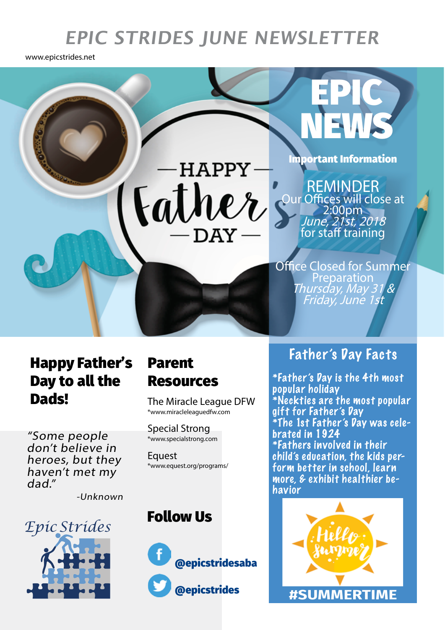# **EPIC STRIDES JUNE NEWSLETTER**

www.epicstrides.net



## Happy Father's Day to all the **Dads!** The Miracle League DFW

"Some people don't believe in heroes, but they haven't met my dad."

-Unknown



## Parent Resources

\*www.miracleleaguedfw.com

Special Strong \*www.specialstrong.com

Equest \*www.equest.org/programs/

### Follow Us



#### Father's Day Facts

\*Father's Day is the 4th most popular holiday \*Neckties are the most popular gift for Father's Day \*The 1st Father's Day was celebrated in 1924 \*Fathers involved in their child's education, the kids perform better in school, learn more, & exhibit healthier behavior